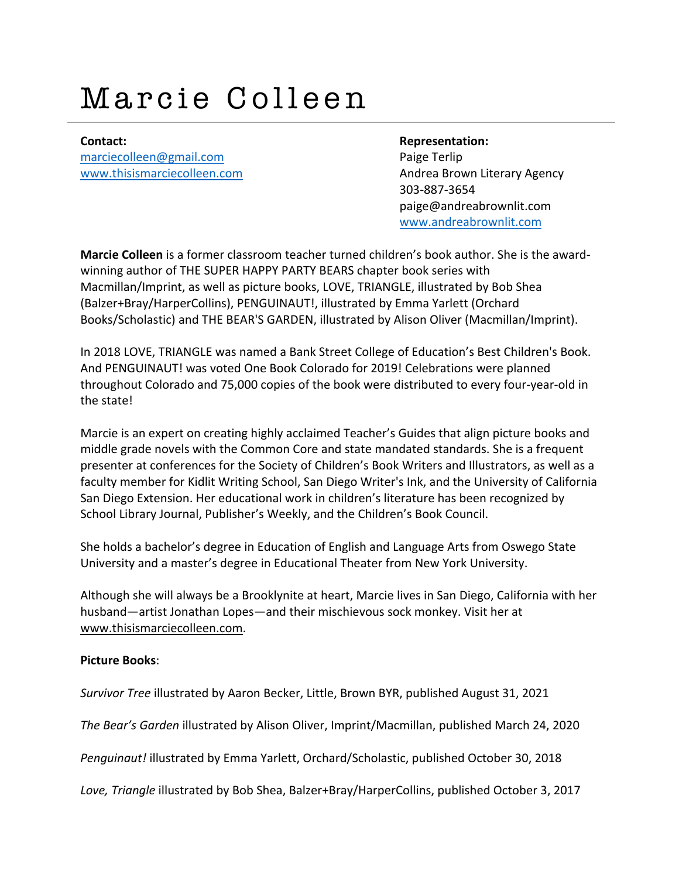# Marcie Colleen

**Contact: Representation:** marciecolleen@gmail.com **Paige Terlip** 

www.thisismarciecolleen.com **Andrea Brown Literary Agency** 303-887-3654 paige@andreabrownlit.com www.andreabrownlit.com

**Marcie Colleen** is a former classroom teacher turned children's book author. She is the awardwinning author of THE SUPER HAPPY PARTY BEARS chapter book series with Macmillan/Imprint, as well as picture books, LOVE, TRIANGLE, illustrated by Bob Shea (Balzer+Bray/HarperCollins), PENGUINAUT!, illustrated by Emma Yarlett (Orchard Books/Scholastic) and THE BEAR'S GARDEN, illustrated by Alison Oliver (Macmillan/Imprint).

In 2018 LOVE, TRIANGLE was named a Bank Street College of Education's Best Children's Book. And PENGUINAUT! was voted One Book Colorado for 2019! Celebrations were planned throughout Colorado and 75,000 copies of the book were distributed to every four-year-old in the state!

Marcie is an expert on creating highly acclaimed Teacher's Guides that align picture books and middle grade novels with the Common Core and state mandated standards. She is a frequent presenter at conferences for the Society of Children's Book Writers and Illustrators, as well as a faculty member for Kidlit Writing School, San Diego Writer's Ink, and the University of California San Diego Extension. Her educational work in children's literature has been recognized by School Library Journal, Publisher's Weekly, and the Children's Book Council.

She holds a bachelor's degree in Education of English and Language Arts from Oswego State University and a master's degree in Educational Theater from New York University.

Although she will always be a Brooklynite at heart, Marcie lives in San Diego, California with her husband—artist Jonathan Lopes—and their mischievous sock monkey. Visit her at www.thisismarciecolleen.com.

#### **Picture Books**:

*Survivor Tree* illustrated by Aaron Becker, Little, Brown BYR, published August 31, 2021

*The Bear's Garden* illustrated by Alison Oliver, Imprint/Macmillan, published March 24, 2020

*Penguinaut!* illustrated by Emma Yarlett, Orchard/Scholastic, published October 30, 2018

*Love, Triangle* illustrated by Bob Shea, Balzer+Bray/HarperCollins, published October 3, 2017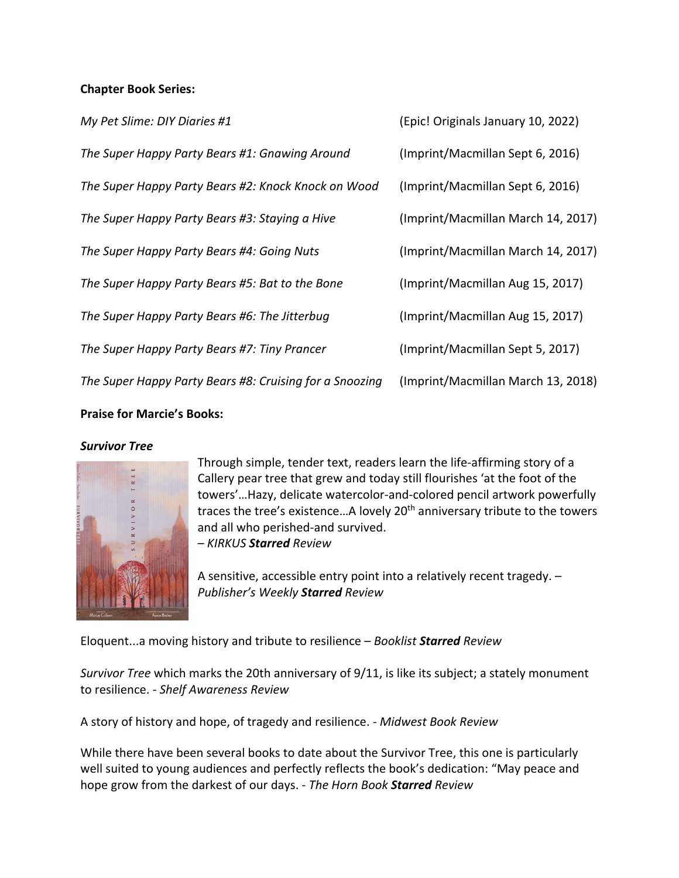### **Chapter Book Series:**

| My Pet Slime: DIY Diaries #1                            | (Epic! Originals January 10, 2022) |
|---------------------------------------------------------|------------------------------------|
| The Super Happy Party Bears #1: Gnawing Around          | (Imprint/Macmillan Sept 6, 2016)   |
| The Super Happy Party Bears #2: Knock Knock on Wood     | (Imprint/Macmillan Sept 6, 2016)   |
| The Super Happy Party Bears #3: Staying a Hive          | (Imprint/Macmillan March 14, 2017) |
| The Super Happy Party Bears #4: Going Nuts              | (Imprint/Macmillan March 14, 2017) |
| The Super Happy Party Bears #5: Bat to the Bone         | (Imprint/Macmillan Aug 15, 2017)   |
| The Super Happy Party Bears #6: The Jitterbug           | (Imprint/Macmillan Aug 15, 2017)   |
| The Super Happy Party Bears #7: Tiny Prancer            | (Imprint/Macmillan Sept 5, 2017)   |
| The Super Happy Party Bears #8: Cruising for a Snoozing | (Imprint/Macmillan March 13, 2018) |
|                                                         |                                    |

### **Praise for Marcie's Books:**

#### *Survivor Tree*



Through simple, tender text, readers learn the life-affirming story of a Callery pear tree that grew and today still flourishes 'at the foot of the towers'…Hazy, delicate watercolor-and-colored pencil artwork powerfully traces the tree's existence...A lovely 20<sup>th</sup> anniversary tribute to the towers and all who perished-and survived. – *KIRKUS Starred Review*

A sensitive, accessible entry point into a relatively recent tragedy. – *Publisher's Weekly Starred Review*

Eloquent...a moving history and tribute to resilience – *Booklist Starred Review*

*Survivor Tree* which marks the 20th anniversary of 9/11, is like its subject; a stately monument to resilience. - *Shelf Awareness Review*

A story of history and hope, of tragedy and resilience. - *Midwest Book Review*

While there have been several books to date about the Survivor Tree, this one is particularly well suited to young audiences and perfectly reflects the book's dedication: "May peace and hope grow from the darkest of our days. - *The Horn Book Starred Review*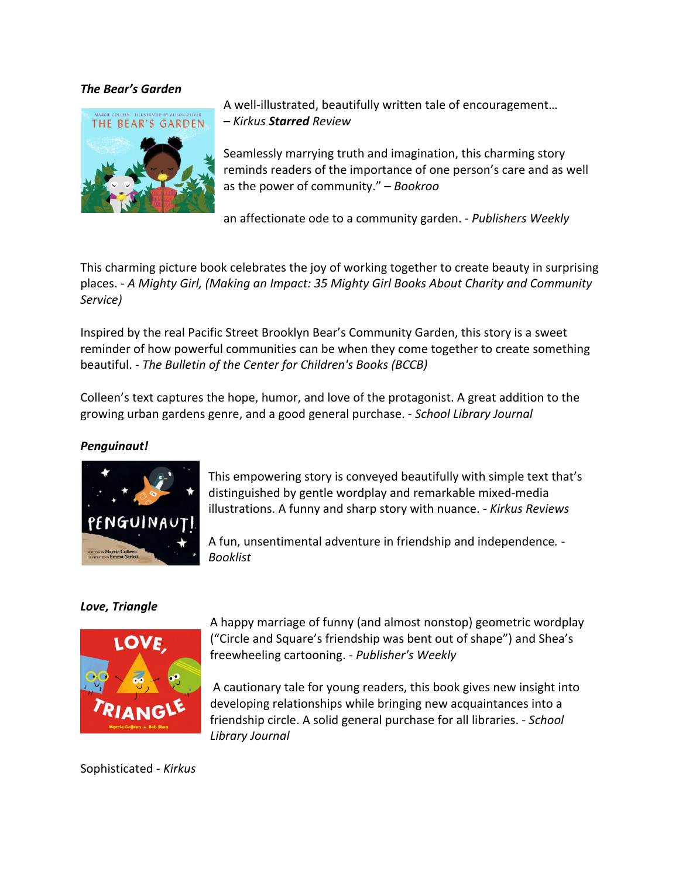### *The Bear's Garden*



A well-illustrated, beautifully written tale of encouragement… – *Kirkus Starred Review*

Seamlessly marrying truth and imagination, this charming story reminds readers of the importance of one person's care and as well as the power of community." – *Bookroo*

an affectionate ode to a community garden. - *Publishers Weekly*

This charming picture book celebrates the joy of working together to create beauty in surprising places. - *A Mighty Girl, (Making an Impact: 35 Mighty Girl Books About Charity and Community Service)*

Inspired by the real Pacific Street Brooklyn Bear's Community Garden, this story is a sweet reminder of how powerful communities can be when they come together to create something beautiful. - *The Bulletin of the Center for Children's Books (BCCB)*

Colleen's text captures the hope, humor, and love of the protagonist. A great addition to the growing urban gardens genre, and a good general purchase. - *School Library Journal*

#### *Penguinaut!*



This empowering story is conveyed beautifully with simple text that's distinguished by gentle wordplay and remarkable mixed-media illustrations. A funny and sharp story with nuance. - *Kirkus Reviews*

A fun, unsentimental adventure in friendship and independence*.* - *Booklist*

## *Love, Triangle*



A happy marriage of funny (and almost nonstop) geometric wordplay ("Circle and Square's friendship was bent out of shape") and Shea's freewheeling cartooning. - *Publisher's Weekly*

A cautionary tale for young readers, this book gives new insight into developing relationships while bringing new acquaintances into a friendship circle. A solid general purchase for all libraries. - *School Library Journal*

Sophisticated - *Kirkus*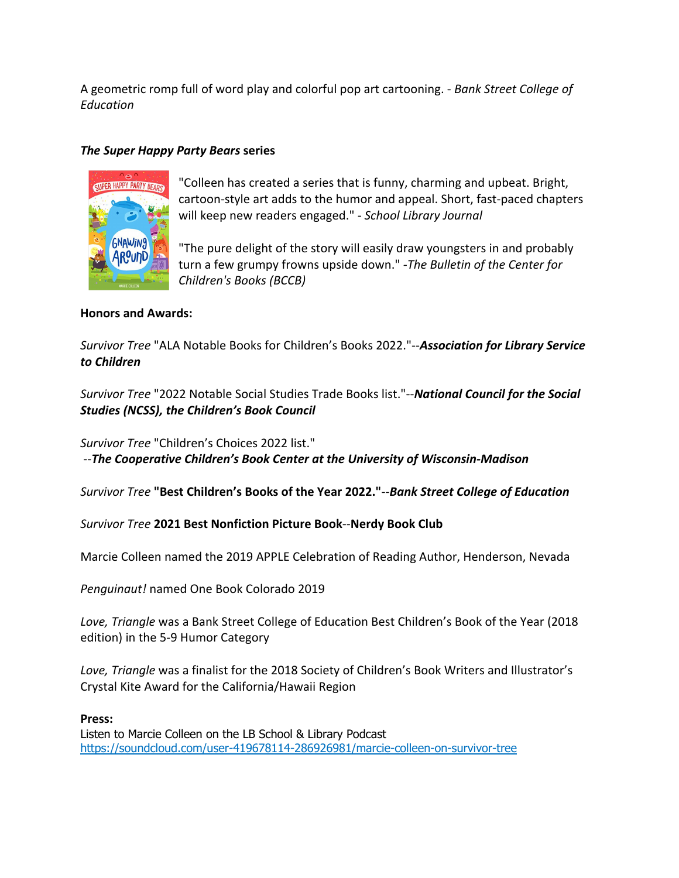A geometric romp full of word play and colorful pop art cartooning. - *Bank Street College of Education*

### *The Super Happy Party Bears* **series**



"Colleen has created a series that is funny, charming and upbeat. Bright, cartoon-style art adds to the humor and appeal. Short, fast-paced chapters will keep new readers engaged." - *School Library Journal*

"The pure delight of the story will easily draw youngsters in and probably turn a few grumpy frowns upside down." *-The Bulletin of the Center for Children's Books (BCCB)*

#### **Honors and Awards:**

*Survivor Tree* "ALA Notable Books for Children's Books 2022."--*Association for Library Service to Children*

*Survivor Tree* "2022 Notable Social Studies Trade Books list."--*National Council for the Social Studies (NCSS), the Children's Book Council*

*Survivor Tree* "Children's Choices 2022 list." --*The Cooperative Children's Book Center at the University of Wisconsin-Madison*

*Survivor Tree* **"Best Children's Books of the Year 2022."**--*Bank Street College of Education*

*Survivor Tree* **2021 Best Nonfiction Picture Book**--**Nerdy Book Club**

Marcie Colleen named the 2019 APPLE Celebration of Reading Author, Henderson, Nevada

*Penguinaut!* named One Book Colorado 2019

*Love, Triangle* was a Bank Street College of Education Best Children's Book of the Year (2018 edition) in the 5-9 Humor Category

*Love, Triangle* was a finalist for the 2018 Society of Children's Book Writers and Illustrator's Crystal Kite Award for the California/Hawaii Region

#### **Press:**

Listen to Marcie Colleen on the LB School & Library Podcast https://soundcloud.com/user-419678114-286926981/marcie-colleen-on-survivor-tree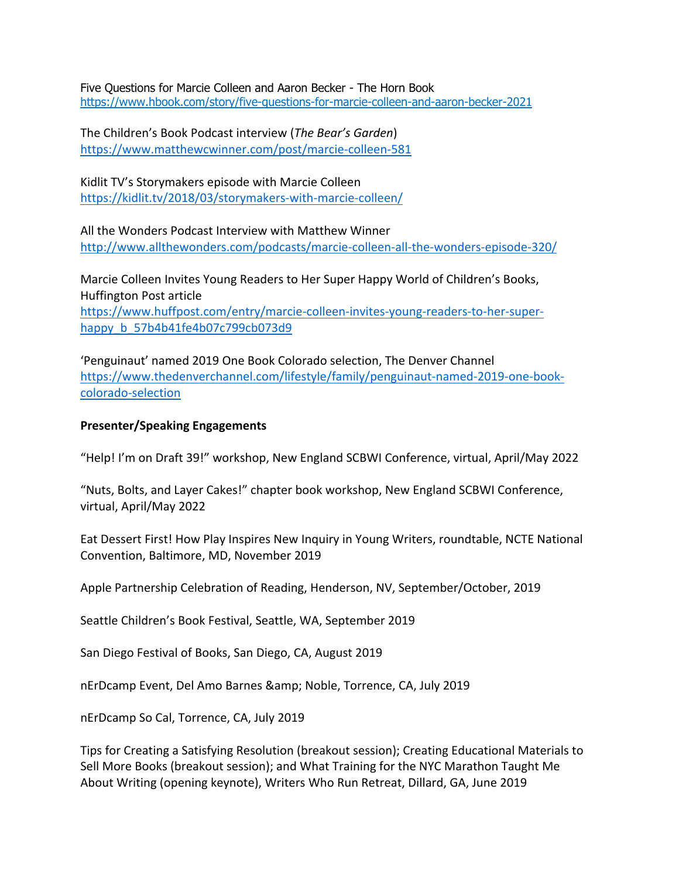Five Questions for Marcie Colleen and Aaron Becker - The Horn Book https://www.hbook.com/story/five-questions-for-marcie-colleen-and-aaron-becker-2021

The Children's Book Podcast interview (*The Bear's Garden*) https://www.matthewcwinner.com/post/marcie-colleen-581

Kidlit TV's Storymakers episode with Marcie Colleen https://kidlit.tv/2018/03/storymakers-with-marcie-colleen/

All the Wonders Podcast Interview with Matthew Winner http://www.allthewonders.com/podcasts/marcie-colleen-all-the-wonders-episode-320/

Marcie Colleen Invites Young Readers to Her Super Happy World of Children's Books, Huffington Post article https://www.huffpost.com/entry/marcie-colleen-invites-young-readers-to-her-superhappy\_b\_57b4b41fe4b07c799cb073d9

'Penguinaut' named 2019 One Book Colorado selection, The Denver Channel https://www.thedenverchannel.com/lifestyle/family/penguinaut-named-2019-one-bookcolorado-selection

#### **Presenter/Speaking Engagements**

"Help! I'm on Draft 39!" workshop, New England SCBWI Conference, virtual, April/May 2022

"Nuts, Bolts, and Layer Cakes!" chapter book workshop, New England SCBWI Conference, virtual, April/May 2022

Eat Dessert First! How Play Inspires New Inquiry in Young Writers, roundtable, NCTE National Convention, Baltimore, MD, November 2019

Apple Partnership Celebration of Reading, Henderson, NV, September/October, 2019

Seattle Children's Book Festival, Seattle, WA, September 2019

San Diego Festival of Books, San Diego, CA, August 2019

nErDcamp Event, Del Amo Barnes & amp; Noble, Torrence, CA, July 2019

nErDcamp So Cal, Torrence, CA, July 2019

Tips for Creating a Satisfying Resolution (breakout session); Creating Educational Materials to Sell More Books (breakout session); and What Training for the NYC Marathon Taught Me About Writing (opening keynote), Writers Who Run Retreat, Dillard, GA, June 2019